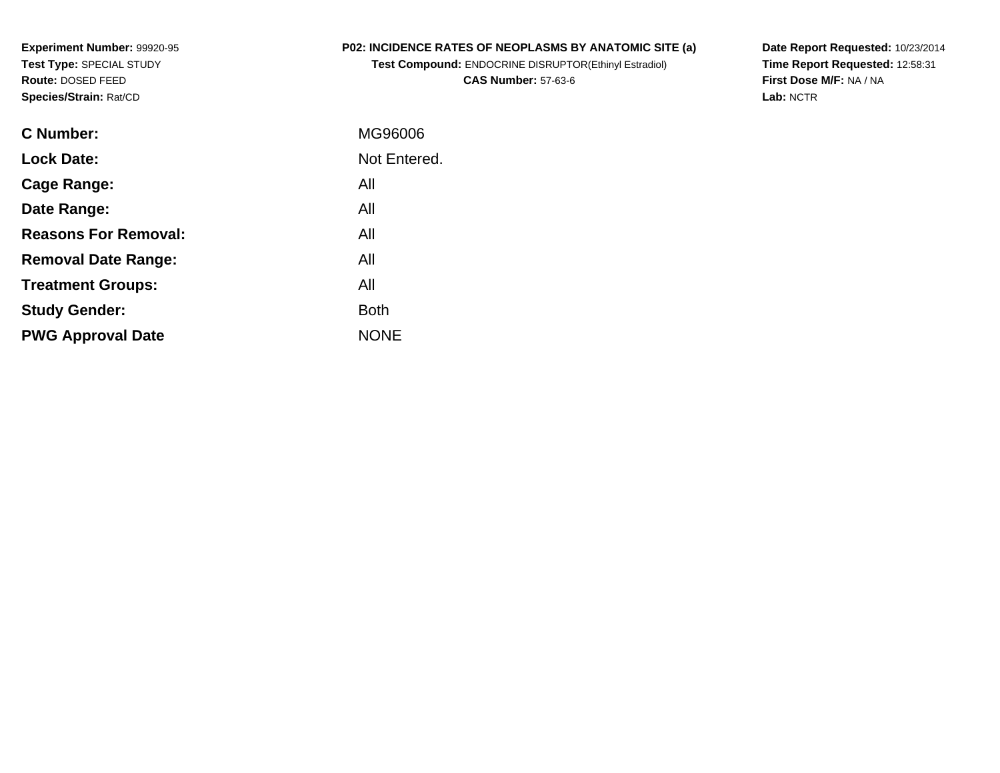**Experiment Number:** 99920-95**Test Type:** SPECIAL STUDY**Route:** DOSED FEED**Species/Strain:** Rat/CD

# **P02: INCIDENCE RATES OF NEOPLASMS BY ANATOMIC SITE (a)**

**Test Compound:** ENDOCRINE DISRUPTOR(Ethinyl Estradiol)**CAS Number:** 57-63-6

**Date Report Requested:** 10/23/2014 **Time Report Requested:** 12:58:31**First Dose M/F:** NA / NA**Lab:** NCTR

| <b>C</b> Number:            | MG96006      |
|-----------------------------|--------------|
| <b>Lock Date:</b>           | Not Entered. |
| Cage Range:                 | All          |
| Date Range:                 | All          |
| <b>Reasons For Removal:</b> | All          |
| <b>Removal Date Range:</b>  | All          |
| <b>Treatment Groups:</b>    | All          |
| <b>Study Gender:</b>        | <b>Both</b>  |
| <b>PWG Approval Date</b>    | <b>NONE</b>  |
|                             |              |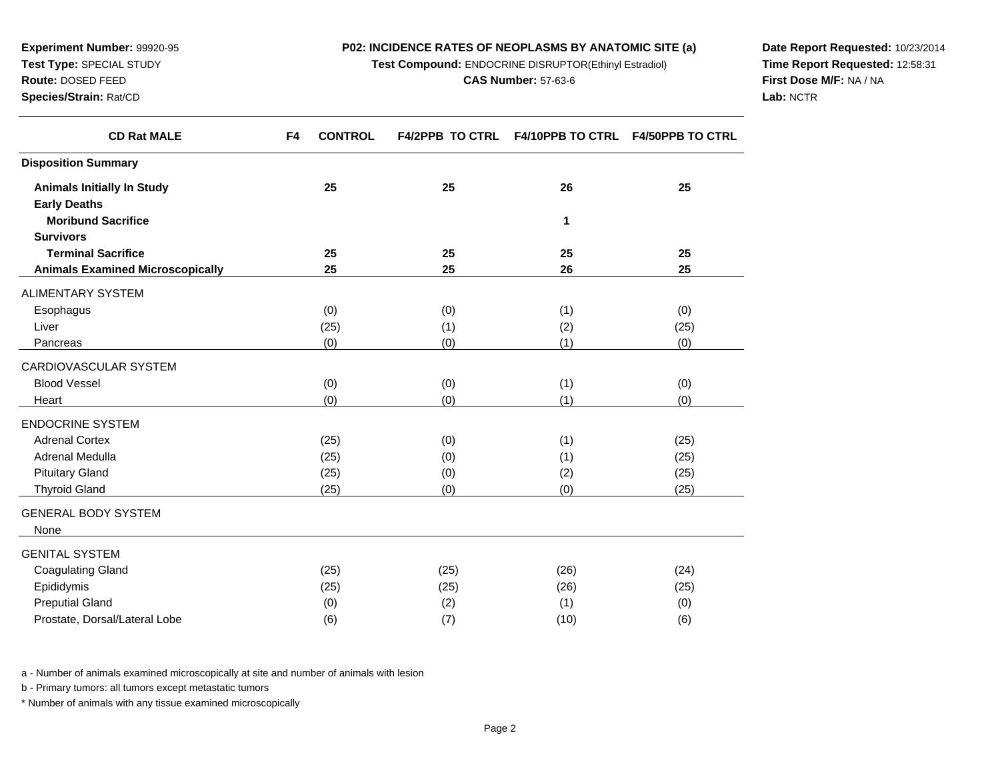**Test Compound:** ENDOCRINE DISRUPTOR(Ethinyl Estradiol)

**Date Report Requested:** 10/23/2014**Time Report Requested:** 12:58:31**First Dose M/F:** NA / NA**Lab:** NCTR

| <b>CD Rat MALE</b>                      | F4 | <b>CONTROL</b> | <b>F4/2PPB TO CTRL</b> | F4/10PPB TO CTRL F4/50PPB TO CTRL |      |
|-----------------------------------------|----|----------------|------------------------|-----------------------------------|------|
| <b>Disposition Summary</b>              |    |                |                        |                                   |      |
| <b>Animals Initially In Study</b>       |    | 25             | 25                     | 26                                | 25   |
| <b>Early Deaths</b>                     |    |                |                        |                                   |      |
| <b>Moribund Sacrifice</b>               |    |                |                        | 1                                 |      |
| <b>Survivors</b>                        |    |                |                        |                                   |      |
| <b>Terminal Sacrifice</b>               |    | 25             | 25                     | 25                                | 25   |
| <b>Animals Examined Microscopically</b> |    | 25             | 25                     | 26                                | 25   |
| ALIMENTARY SYSTEM                       |    |                |                        |                                   |      |
| Esophagus                               |    | (0)            | (0)                    | (1)                               | (0)  |
| Liver                                   |    | (25)           | (1)                    | (2)                               | (25) |
| Pancreas                                |    | (0)            | (0)                    | (1)                               | (0)  |
| CARDIOVASCULAR SYSTEM                   |    |                |                        |                                   |      |
| <b>Blood Vessel</b>                     |    | (0)            | (0)                    | (1)                               | (0)  |
| Heart                                   |    | (0)            | (0)                    | (1)                               | (0)  |
| <b>ENDOCRINE SYSTEM</b>                 |    |                |                        |                                   |      |
| <b>Adrenal Cortex</b>                   |    | (25)           | (0)                    | (1)                               | (25) |
| Adrenal Medulla                         |    | (25)           | (0)                    | (1)                               | (25) |
| <b>Pituitary Gland</b>                  |    | (25)           | (0)                    | (2)                               | (25) |
| <b>Thyroid Gland</b>                    |    | (25)           | (0)                    | (0)                               | (25) |
| <b>GENERAL BODY SYSTEM</b>              |    |                |                        |                                   |      |
| None                                    |    |                |                        |                                   |      |
| GENITAL SYSTEM                          |    |                |                        |                                   |      |
| <b>Coagulating Gland</b>                |    | (25)           | (25)                   | (26)                              | (24) |
| Epididymis                              |    | (25)           | (25)                   | (26)                              | (25) |
| <b>Preputial Gland</b>                  |    | (0)            | (2)                    | (1)                               | (0)  |
|                                         |    |                |                        |                                   |      |

a - Number of animals examined microscopically at site and number of animals with lesion

b - Primary tumors: all tumors except metastatic tumors

Prostate, Dorsal/Lateral Lobe

**Experiment Number:** 99920-95**Test Type:** SPECIAL STUDY**Route:** DOSED FEED**Species/Strain:** Rat/CD

\* Number of animals with any tissue examined microscopically

e (6) (7) (10) (6)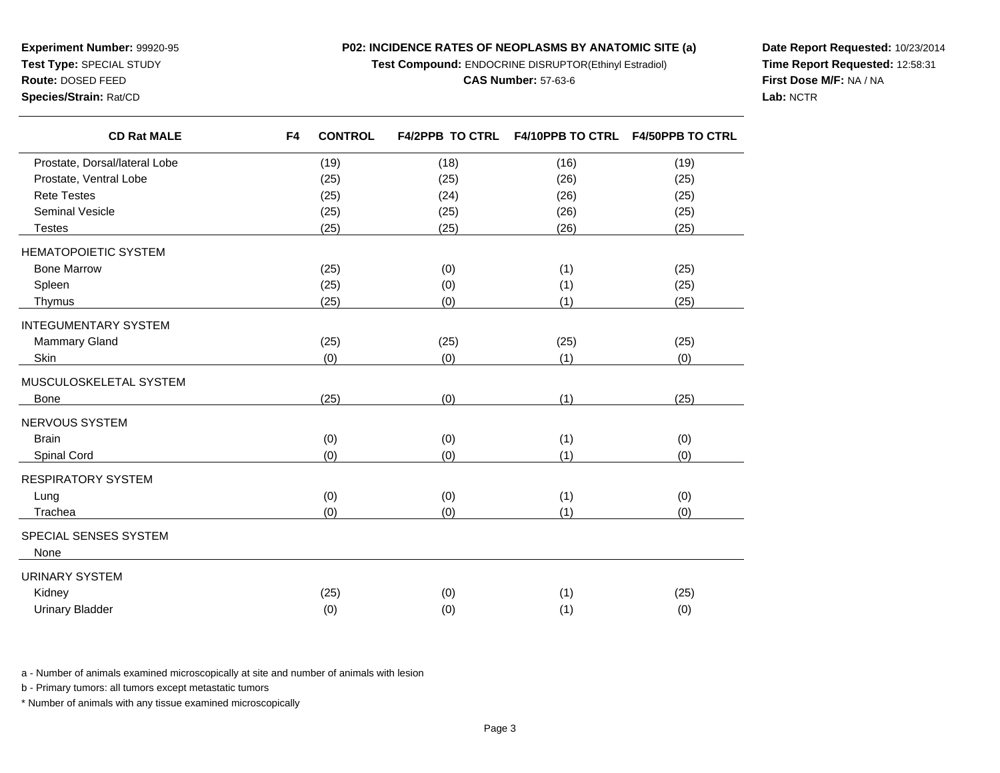**Test Compound:** ENDOCRINE DISRUPTOR(Ethinyl Estradiol)

#### **CAS Number:** 57-63-6

**Date Report Requested:** 10/23/2014**Time Report Requested:** 12:58:31**First Dose M/F:** NA / NA**Lab:** NCTR

**Experiment Number:** 99920-95**Test Type:** SPECIAL STUDY**Route:** DOSED FEED**Species/Strain:** Rat/CD

| <b>CD Rat MALE</b>            | F4 | <b>CONTROL</b> | <b>F4/2PPB TO CTRL</b> | F4/10PPB TO CTRL F4/50PPB TO CTRL |      |
|-------------------------------|----|----------------|------------------------|-----------------------------------|------|
| Prostate, Dorsal/lateral Lobe |    | (19)           | (18)                   | (16)                              | (19) |
| Prostate, Ventral Lobe        |    | (25)           | (25)                   | (26)                              | (25) |
| <b>Rete Testes</b>            |    | (25)           | (24)                   | (26)                              | (25) |
| <b>Seminal Vesicle</b>        |    | (25)           | (25)                   | (26)                              | (25) |
| <b>Testes</b>                 |    | (25)           | (25)                   | (26)                              | (25) |
| <b>HEMATOPOIETIC SYSTEM</b>   |    |                |                        |                                   |      |
| <b>Bone Marrow</b>            |    | (25)           | (0)                    | (1)                               | (25) |
| Spleen                        |    | (25)           | (0)                    | (1)                               | (25) |
| Thymus                        |    | (25)           | (0)                    | (1)                               | (25) |
| <b>INTEGUMENTARY SYSTEM</b>   |    |                |                        |                                   |      |
| Mammary Gland                 |    | (25)           | (25)                   | (25)                              | (25) |
| Skin                          |    | (0)            | (0)                    | (1)                               | (0)  |
| MUSCULOSKELETAL SYSTEM        |    |                |                        |                                   |      |
| Bone                          |    | (25)           | (0)                    | (1)                               | (25) |
| NERVOUS SYSTEM                |    |                |                        |                                   |      |
| <b>Brain</b>                  |    | (0)            | (0)                    | (1)                               | (0)  |
| Spinal Cord                   |    | (0)            | (0)                    | (1)                               | (0)  |
| <b>RESPIRATORY SYSTEM</b>     |    |                |                        |                                   |      |
| Lung                          |    | (0)            | (0)                    | (1)                               | (0)  |
| Trachea                       |    | (0)            | (0)                    | (1)                               | (0)  |
| SPECIAL SENSES SYSTEM         |    |                |                        |                                   |      |
| None                          |    |                |                        |                                   |      |
| <b>URINARY SYSTEM</b>         |    |                |                        |                                   |      |
| Kidney                        |    | (25)           | (0)                    | (1)                               | (25) |
| <b>Urinary Bladder</b>        |    | (0)            | (0)                    | (1)                               | (0)  |
|                               |    |                |                        |                                   |      |

a - Number of animals examined microscopically at site and number of animals with lesion

b - Primary tumors: all tumors except metastatic tumors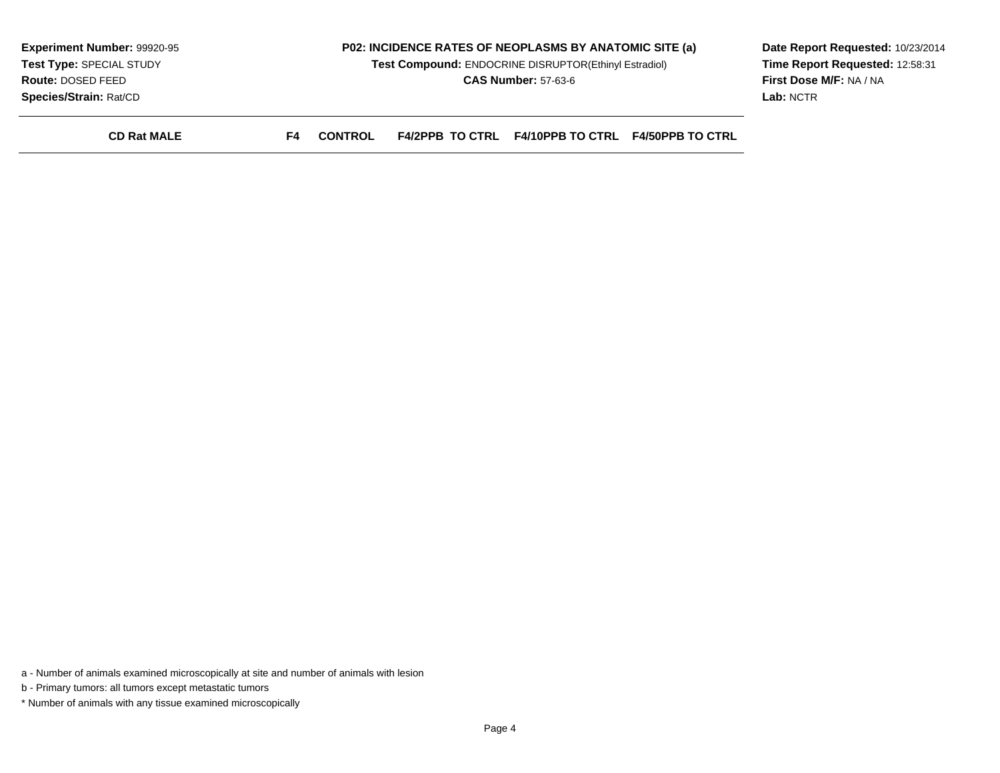| <b>Experiment Number: 99920-95</b> |    |                |                        | P02: INCIDENCE RATES OF NEOPLASMS BY ANATOMIC SITE (a) | Date Report Requested: 10/23/2014 |
|------------------------------------|----|----------------|------------------------|--------------------------------------------------------|-----------------------------------|
| Test Type: SPECIAL STUDY           |    |                |                        | Test Compound: ENDOCRINE DISRUPTOR(Ethinyl Estradiol)  | Time Report Requested: 12:58:31   |
| <b>Route: DOSED FEED</b>           |    |                |                        | <b>CAS Number: 57-63-6</b>                             | <b>First Dose M/F: NA / NA</b>    |
| <b>Species/Strain: Rat/CD</b>      |    |                |                        |                                                        | Lab: NCTR                         |
| <b>CD Rat MALE</b>                 | F4 | <b>CONTROL</b> | <b>F4/2PPB TO CTRL</b> | <b>F4/10PPB TO CTRL F4/50PPB TO CTRL</b>               |                                   |

a - Number of animals examined microscopically at site and number of animals with lesion

b - Primary tumors: all tumors except metastatic tumors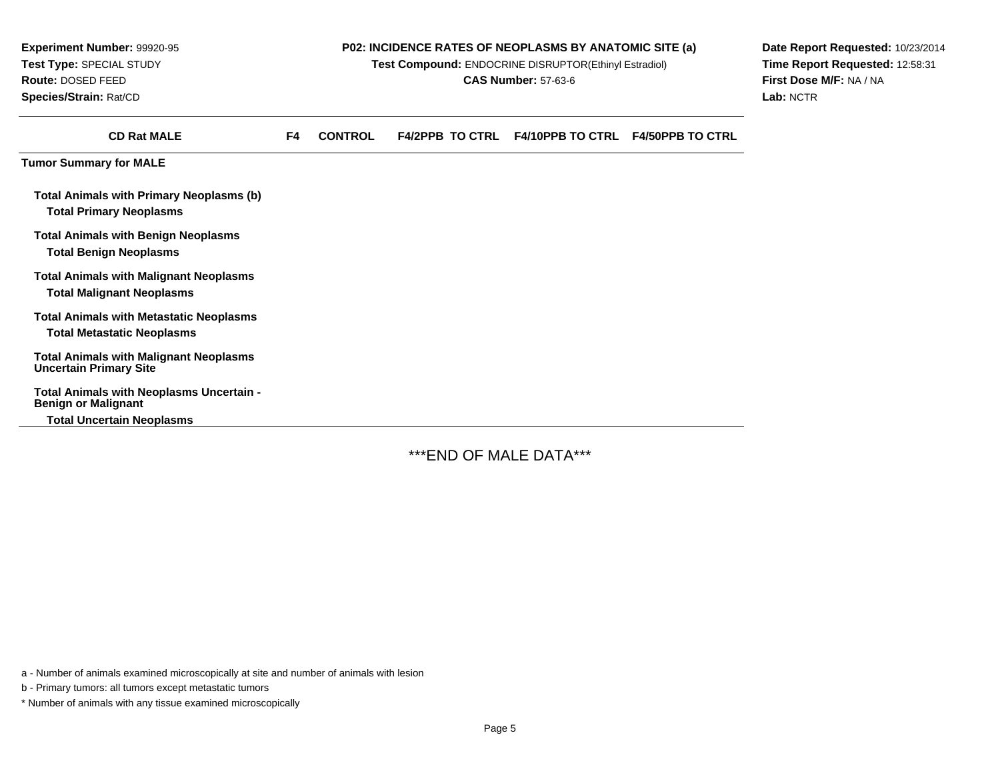**Experiment Number:** 99920-95**Test Type:** SPECIAL STUDY**Route:** DOSED FEED**Species/Strain:** Rat/CD

## **P02: INCIDENCE RATES OF NEOPLASMS BY ANATOMIC SITE (a)**

**Test Compound:** ENDOCRINE DISRUPTOR(Ethinyl Estradiol)

**CAS Number:** 57-63-6

**Date Report Requested:** 10/23/2014**Time Report Requested:** 12:58:31**First Dose M/F:** NA / NA**Lab:** NCTR

| <b>CD Rat MALE</b>                                                                  | F4 | <b>CONTROL</b> | <b>F4/2PPB TO CTRL</b> | <b>F4/10PPB TO CTRL</b> | <b>F4/50PPB TO CTRL</b> |
|-------------------------------------------------------------------------------------|----|----------------|------------------------|-------------------------|-------------------------|
| <b>Tumor Summary for MALE</b>                                                       |    |                |                        |                         |                         |
| <b>Total Animals with Primary Neoplasms (b)</b><br><b>Total Primary Neoplasms</b>   |    |                |                        |                         |                         |
| <b>Total Animals with Benign Neoplasms</b><br>Total Benign Neoplasms                |    |                |                        |                         |                         |
| <b>Total Animals with Malignant Neoplasms</b><br>Total Malignant Neoplasms          |    |                |                        |                         |                         |
| <b>Total Animals with Metastatic Neoplasms</b><br><b>Total Metastatic Neoplasms</b> |    |                |                        |                         |                         |
| <b>Total Animals with Malignant Neoplasms</b><br><b>Uncertain Primary Site</b>      |    |                |                        |                         |                         |
| Total Animals with Neoplasms Uncertain -<br><b>Benign or Malignant</b>              |    |                |                        |                         |                         |
| <b>Total Uncertain Neoplasms</b>                                                    |    |                |                        |                         |                         |

\*\*\*END OF MALE DATA\*\*\*

a - Number of animals examined microscopically at site and number of animals with lesion

b - Primary tumors: all tumors except metastatic tumors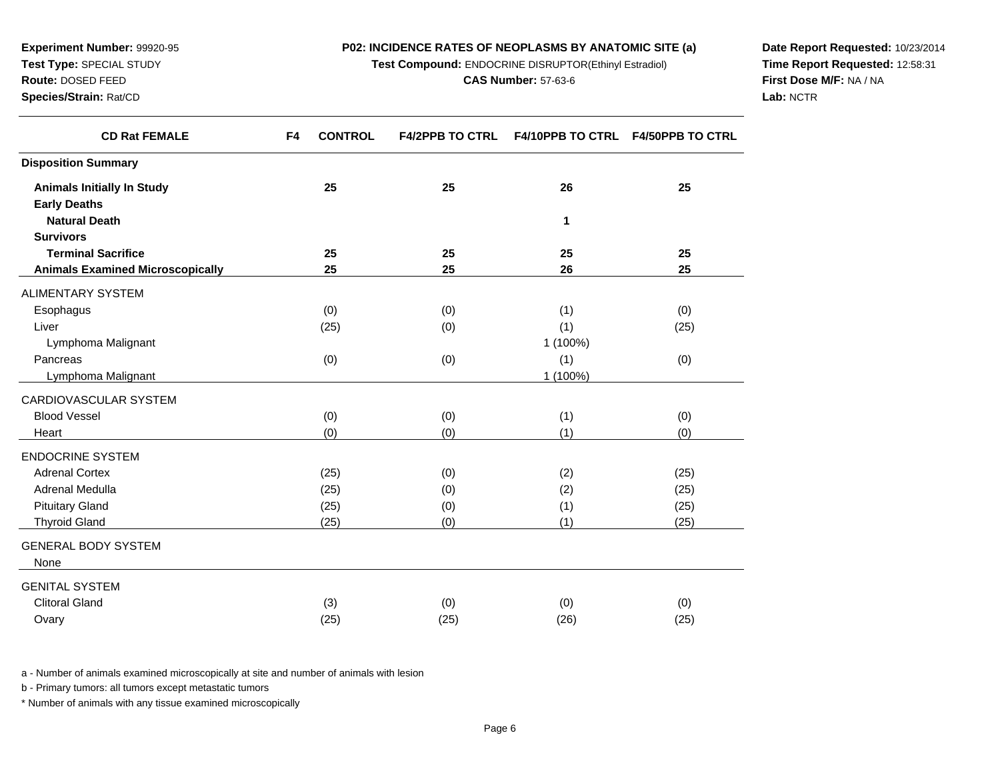**Test Compound:** ENDOCRINE DISRUPTOR(Ethinyl Estradiol)

**Date Report Requested:** 10/23/2014**Time Report Requested:** 12:58:31**First Dose M/F:** NA / NA**Lab:** NCTR

| <b>CONTROL</b><br>F4 | <b>F4/2PPB TO CTRL</b> | F4/10PPB TO CTRL F4/50PPB TO CTRL |             |
|----------------------|------------------------|-----------------------------------|-------------|
|                      |                        |                                   |             |
| 25                   | 25                     | 26                                | 25          |
|                      |                        |                                   |             |
|                      |                        | 1                                 |             |
|                      |                        |                                   |             |
| 25                   | 25                     | 25                                | 25          |
| 25                   | 25                     | 26                                | 25          |
|                      |                        |                                   |             |
| (0)                  | (0)                    | (1)                               | (0)         |
| (25)                 | (0)                    | (1)                               | (25)        |
|                      |                        | 1 (100%)                          |             |
| (0)                  | (0)                    | (1)                               | (0)         |
|                      |                        | 1 (100%)                          |             |
|                      |                        |                                   |             |
| (0)                  | (0)                    | (1)                               | (0)         |
| (0)                  | (0)                    | (1)                               | (0)         |
|                      |                        |                                   |             |
| (25)                 | (0)                    | (2)                               | (25)        |
| (25)                 | (0)                    | (2)                               | (25)        |
| (25)                 | (0)                    | (1)                               | (25)        |
| (25)                 | (0)                    | (1)                               | (25)        |
|                      |                        |                                   |             |
|                      |                        |                                   |             |
|                      |                        |                                   |             |
|                      |                        |                                   | (0)         |
| (25)                 | (25)                   |                                   | (25)        |
|                      | (3)                    | (0)                               | (0)<br>(26) |

a - Number of animals examined microscopically at site and number of animals with lesion

b - Primary tumors: all tumors except metastatic tumors

**Experiment Number:** 99920-95**Test Type:** SPECIAL STUDY**Route:** DOSED FEED**Species/Strain:** Rat/CD

 $\overline{\phantom{0}}$ 

 $\overline{\phantom{0}}$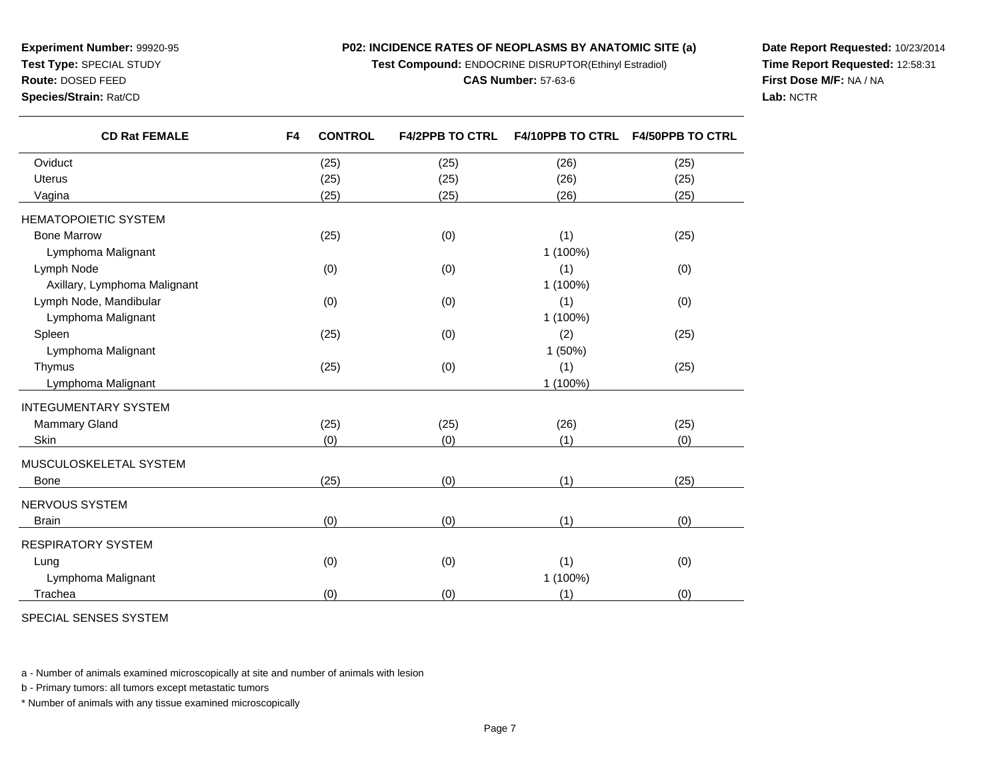**Test Compound:** ENDOCRINE DISRUPTOR(Ethinyl Estradiol)

#### **CAS Number:** 57-63-6

**Date Report Requested:** 10/23/2014**Time Report Requested:** 12:58:31**First Dose M/F:** NA / NA**Lab:** NCTR

**Route:** DOSED FEED

**Species/Strain:** Rat/CD

**Experiment Number:** 99920-95**Test Type:** SPECIAL STUDY

| <b>CD Rat FEMALE</b>         | F <sub>4</sub> | <b>CONTROL</b> | <b>F4/2PPB TO CTRL</b> | F4/10PPB TO CTRL F4/50PPB TO CTRL |      |
|------------------------------|----------------|----------------|------------------------|-----------------------------------|------|
| Oviduct                      |                | (25)           | (25)                   | (26)                              | (25) |
| <b>Uterus</b>                |                | (25)           | (25)                   | (26)                              | (25) |
| Vagina                       |                | (25)           | (25)                   | (26)                              | (25) |
| <b>HEMATOPOIETIC SYSTEM</b>  |                |                |                        |                                   |      |
| <b>Bone Marrow</b>           |                | (25)           | (0)                    | (1)                               | (25) |
| Lymphoma Malignant           |                |                |                        | 1 (100%)                          |      |
| Lymph Node                   |                | (0)            | (0)                    | (1)                               | (0)  |
| Axillary, Lymphoma Malignant |                |                |                        | 1 (100%)                          |      |
| Lymph Node, Mandibular       |                | (0)            | (0)                    | (1)                               | (0)  |
| Lymphoma Malignant           |                |                |                        | 1 (100%)                          |      |
| Spleen                       |                | (25)           | (0)                    | (2)                               | (25) |
| Lymphoma Malignant           |                |                |                        | 1 (50%)                           |      |
| Thymus                       |                | (25)           | (0)                    | (1)                               | (25) |
| Lymphoma Malignant           |                |                |                        | 1 (100%)                          |      |
| <b>INTEGUMENTARY SYSTEM</b>  |                |                |                        |                                   |      |
| Mammary Gland                |                | (25)           | (25)                   | (26)                              | (25) |
| Skin                         |                | (0)            | (0)                    | (1)                               | (0)  |
| MUSCULOSKELETAL SYSTEM       |                |                |                        |                                   |      |
| <b>Bone</b>                  |                | (25)           | (0)                    | (1)                               | (25) |
| NERVOUS SYSTEM               |                |                |                        |                                   |      |
| <b>Brain</b>                 |                | (0)            | (0)                    | (1)                               | (0)  |
| RESPIRATORY SYSTEM           |                |                |                        |                                   |      |
| Lung                         |                | (0)            | (0)                    | (1)                               | (0)  |
| Lymphoma Malignant           |                |                |                        | 1 (100%)                          |      |
| Trachea                      |                | (0)            | (0)                    | (1)                               | (0)  |
|                              |                |                |                        |                                   |      |

SPECIAL SENSES SYSTEM

a - Number of animals examined microscopically at site and number of animals with lesion

b - Primary tumors: all tumors except metastatic tumors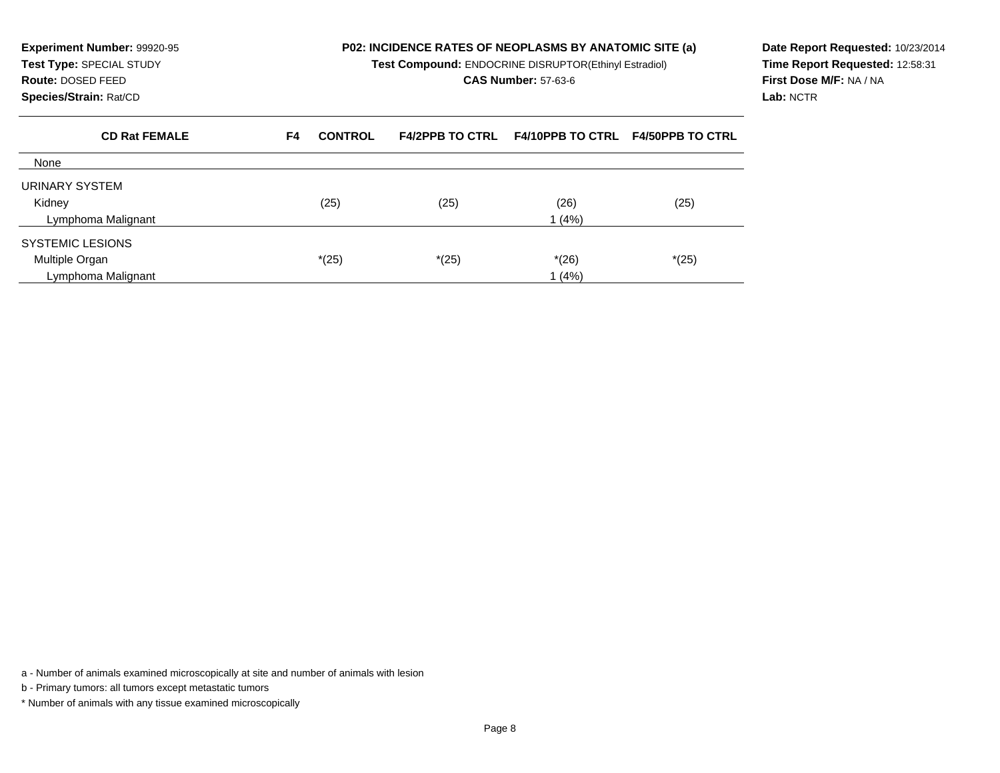| <b>Experiment Number: 99920-95</b><br>Test Type: SPECIAL STUDY<br><b>Route: DOSED FEED</b><br>Species/Strain: Rat/CD |    |                |                        | <b>P02: INCIDENCE RATES OF NEOPLASMS BY ANATOMIC SITE (a)</b><br>Test Compound: ENDOCRINE DISRUPTOR(Ethinyl Estradiol)<br><b>CAS Number: 57-63-6</b> |                         | Date Report Requested: 10/23/2014<br>Time Report Requested: 12:58:31<br>First Dose M/F: NA / NA<br>Lab: NCTR |
|----------------------------------------------------------------------------------------------------------------------|----|----------------|------------------------|------------------------------------------------------------------------------------------------------------------------------------------------------|-------------------------|--------------------------------------------------------------------------------------------------------------|
| <b>CD Rat FEMALE</b>                                                                                                 | F4 | <b>CONTROL</b> | <b>F4/2PPB TO CTRL</b> | <b>F4/10PPB TO CTRL</b>                                                                                                                              | <b>F4/50PPB TO CTRL</b> |                                                                                                              |
| None                                                                                                                 |    |                |                        |                                                                                                                                                      |                         |                                                                                                              |
| URINARY SYSTEM                                                                                                       |    |                |                        |                                                                                                                                                      |                         |                                                                                                              |
| Kidney                                                                                                               |    | (25)           | (25)                   | (26)                                                                                                                                                 | (25)                    |                                                                                                              |
| Lymphoma Malignant                                                                                                   |    |                |                        | (4%)                                                                                                                                                 |                         |                                                                                                              |
| <b>SYSTEMIC LESIONS</b>                                                                                              |    |                |                        |                                                                                                                                                      |                         |                                                                                                              |
| Multiple Organ                                                                                                       |    | $*(25)$        | $*(25)$                | $*(26)$                                                                                                                                              | $*(25)$                 |                                                                                                              |
| Lymphoma Malignant                                                                                                   |    |                |                        | (4% )                                                                                                                                                |                         |                                                                                                              |

a - Number of animals examined microscopically at site and number of animals with lesion

b - Primary tumors: all tumors except metastatic tumors